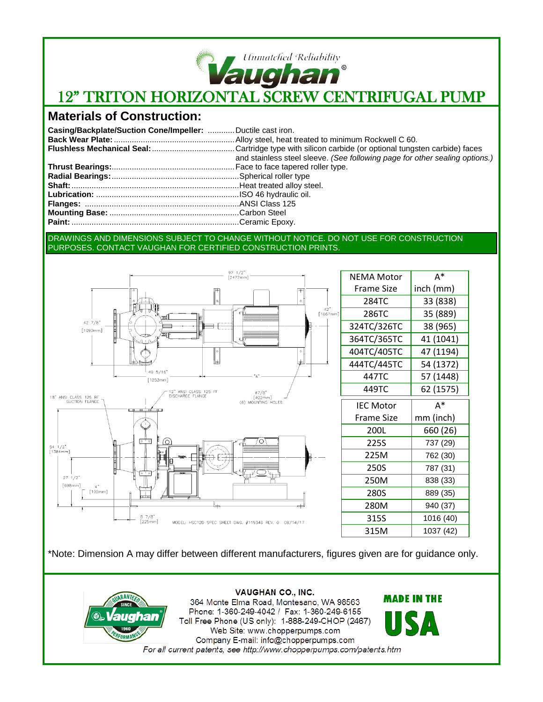

# **Vaughan<sup>®</sup>**<br>12" TRITON HORIZONTAL SCREW CENTRIFUGAL PUMP

## **Materials of Construction:**

| Casing/Backplate/Suction Cone/Impeller:  Ductile cast iron. |                                                                             |
|-------------------------------------------------------------|-----------------------------------------------------------------------------|
|                                                             |                                                                             |
|                                                             |                                                                             |
|                                                             | and stainless steel sleeve. (See following page for other sealing options.) |
|                                                             |                                                                             |
|                                                             |                                                                             |
|                                                             |                                                                             |
|                                                             |                                                                             |
|                                                             |                                                                             |
|                                                             |                                                                             |
|                                                             |                                                                             |

#### DRAWINGS AND DIMENSIONS SUBJECT TO CHANGE WITHOUT NOTICE. DO NOT USE FOR CONSTRUCTION PURPOSES. CONTACT VAUGHAN FOR CERTIFIED CONSTRUCTION PRINTS.



| <b>NFMA Motor</b> | A*        |
|-------------------|-----------|
| Frame Size        | inch (mm) |
| 284TC             | 33 (838)  |
| 286TC             | 35 (889)  |
| 324TC/326TC       | 38 (965)  |
| 364TC/365TC       | 41 (1041) |
| 404TC/405TC       | 47 (1194) |
| 444TC/445TC       | 54 (1372) |
| 447TC             | 57 (1448) |
| 449TC             | 62 (1575) |
| <b>IEC Motor</b>  | А*        |
| <b>Frame Size</b> | mm (inch) |
| 200L              | 660 (26)  |
| 225S              | 737 (29)  |
| 225M              | 762 (30)  |
| 250S              | 787 (31)  |
| 250M              | 838 (33)  |
| 280S              | 889 (35)  |
| 280M              | 940 (37)  |
| 315S              | 1016 (40) |
| 315M              | 1037 (42) |

\*Note: Dimension A may differ between different manufacturers, figures given are for guidance only.



**VAUGHAN CO., INC.** 364 Monte Elma Road, Montesano, WA 98563 Phone: 1-360-249-4042 / Fax: 1-360-249-6155 Toll Free Phone (US only): 1-888-249-CHOP (2467) Web Site: www.chopperpumps.com Company E-mail: info@chopperpumps.com For all current patents, see http://www.chopperpumps.com/patents.htm